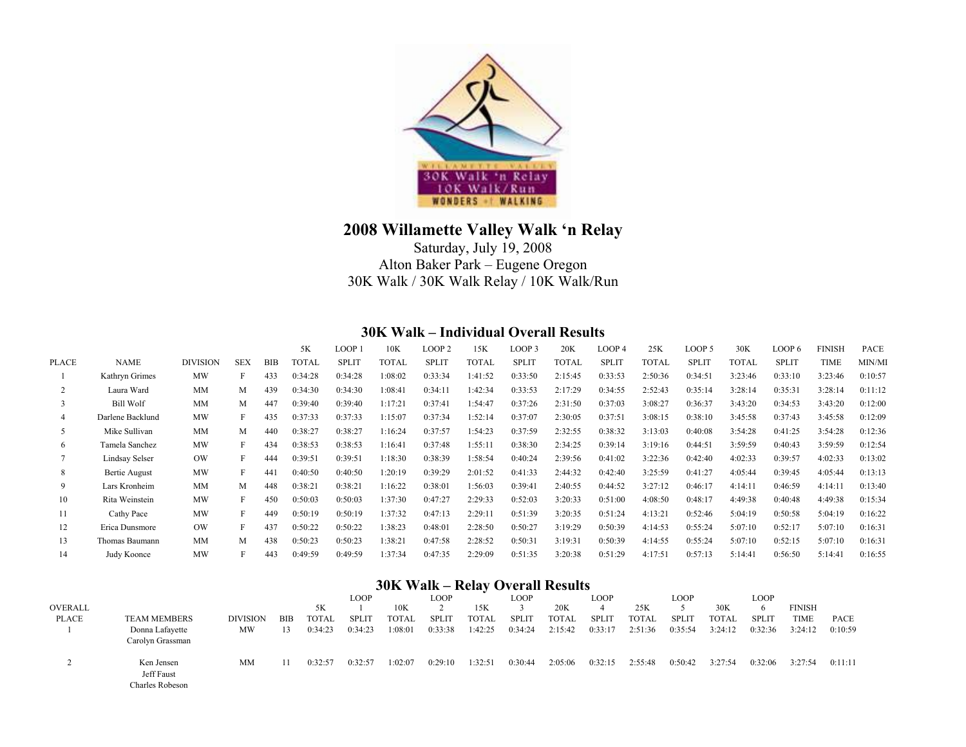

## **2008 Willamette Valley Walk 'n Relay**

Saturday, July 19, 2008 Alton Baker Park – Eugene Oregon 30K Walk / 30K Walk Relay / 10K Walk/Run

## **30K Walk – Individual Overall Results**

|       |                      |                 |            |            | 5K      | LOOP :       | 10K     | LOOP <sub>2</sub> | 15K          | LOOP <sub>3</sub> | 20K          | LOOP 4      | 25K          | LOOP 5       | 30K          | LOOP 6       | <b>FINISH</b> | PACE    |
|-------|----------------------|-----------------|------------|------------|---------|--------------|---------|-------------------|--------------|-------------------|--------------|-------------|--------------|--------------|--------------|--------------|---------------|---------|
| PLACE | <b>NAME</b>          | <b>DIVISION</b> | <b>SEX</b> | <b>BIB</b> | TOTAL   | <b>SPLIT</b> | TOTAL   | <b>SPLIT</b>      | <b>TOTAL</b> | <b>SPLIT</b>      | <b>TOTAL</b> | <b>SPLI</b> | <b>TOTAL</b> | <b>SPLIT</b> | <b>TOTAL</b> | <b>SPLIT</b> | TIME          | MIN/MI  |
|       | Kathryn Grimes       | <b>MW</b>       |            | 433        | 0:34:28 | 0:34:28      | 1:08:02 | 0:33:34           | 1:41:52      | 0:33:50           | 2:15:45      | 0:33:53     | 2:50:36      | 0:34:51      | 3:23:46      | 0:33:10      | 3:23:46       | 0:10:57 |
|       | Laura Ward           | <b>MM</b>       | M          | 439        | 0:34:30 | 0:34:30      | 1:08:41 | 0:34:11           | 1:42:34      | 0:33:53           | 2:17:29      | 0:34:55     | 2:52:43      | 0:35:14      | 3:28:14      | 0:35:31      | 3:28:14       | 0:11:12 |
|       | <b>Bill Wolf</b>     | <b>MM</b>       | M          | 447        | 0:39:40 | 0:39:40      | 1:17:21 | 0:37:41           | 1:54:47      | 0:37:26           | 2:31:50      | 0:37:03     | 3:08:27      | 0:36:37      | 3:43:20      | 0:34:53      | 3:43:20       | 0:12:00 |
|       | Darlene Backlund     | <b>MW</b>       |            | 435        | 0:37:33 | 0:37:33      | 1:15:07 | 0:37:34           | 1:52:14      | 0:37:07           | 2:30:05      | 0:37:51     | 3:08:15      | 0:38:10      | 3:45:58      | 0:37:43      | 3:45:58       | 0:12:09 |
| 5     | Mike Sullivan        | <b>MM</b>       | M          | 440        | 0:38:27 | 0:38:27      | 1:16:24 | 0:37:57           | 1:54:23      | 0:37:59           | 2:32:55      | 0:38:32     | 3:13:03      | 0:40:08      | 3:54:28      | 0:41:25      | 3:54:28       | 0:12:36 |
| 6     | Tamela Sanchez       | MW              |            | 434        | 0:38:53 | 0:38:53      | 1:16:41 | 0:37:48           | 1:55:11      | 0:38:30           | 2:34:25      | 0:39:14     | 3:19:16      | 0:44:51      | 3:59:59      | 0:40:43      | 3:59:59       | 0:12:54 |
|       | Lindsay Selser       | OW              |            | 444        | 0:39:51 | 0:39:51      | 1:18:30 | 0:38:39           | 1:58:54      | 0:40:24           | 2:39:56      | 0:41:02     | 3:22:36      | 0:42:40      | 4:02:33      | 0:39:57      | 4:02:33       | 0:13:02 |
| 8     | <b>Bertie August</b> | <b>MW</b>       |            | 441        | 0:40:50 | 0:40:50      | 1:20:19 | 0:39:29           | 2:01:52      | 0:41:33           | 2:44:32      | 0:42:40     | 3:25:59      | 0:41:27      | 4:05:44      | 0:39:45      | 4:05:44       | 0:13:13 |
| 9     | Lars Kronheim        | <b>MM</b>       | M          | 448        | 0:38:21 | 0:38:21      | 1:16:22 | 0:38:01           | 1:56:03      | 0:39:41           | 2:40:55      | 0:44:52     | 3:27:12      | 0:46:17      | 4:14:11      | 0:46:59      | 4:14:11       | 0:13:40 |
| 10    | Rita Weinstein       | <b>MW</b>       |            | 450        | 0:50:03 | 0:50:03      | 1:37:30 | 0:47:27           | 2:29:33      | 0:52:03           | 3:20:33      | 0:51:00     | 4:08:50      | 0:48:17      | 4:49:38      | 0:40:48      | 4:49:38       | 0:15:34 |
| 11    | Cathy Pace           | <b>MW</b>       |            | 449        | 0:50:19 | 0:50:19      | 1:37:32 | 0:47:13           | 2:29:11      | 0:51:39           | 3:20:35      | 0:51:24     | 4:13:21      | 0:52:46      | 5:04:19      | 0:50:58      | 5:04:19       | 0:16:22 |
| 12    | Erica Dunsmore       | OW              |            | 437        | 0:50:22 | 0:50:22      | 1:38:23 | 0:48:01           | 2:28:50      | 0:50:27           | 3:19:29      | 0:50:39     | 4:14:53      | 0:55:24      | 5:07:10      | 0:52:17      | 5:07:10       | 0:16:31 |
| 13    | Thomas Baumann       | <b>MM</b>       | М          | 438        | 0:50:23 | 0:50:23      | 1:38:21 | 0:47:58           | 2:28:52      | 0:50:31           | 3:19:31      | 0:50:39     | 4:14:55      | 0:55:24      | 5:07:10      | 0:52:15      | 5:07:10       | 0:16:31 |
| 14    | Judy Koonce          | <b>MW</b>       |            | 443        | 0:49:59 | 0:49:59      | 1:37:34 | 0:47:35           | 2:29:09      | 0:51:35           | 3:20:38      | 0:51:29     | 4:17:51      | 0:57:13      | 5:14:41      | 0:56:50      | 5:14:41       | 0:16:55 |
|       |                      |                 |            |            |         |              |         |                   |              |                   |              |             |              |              |              |              |               |         |

## **30K Walk – Relay Overall Results**

|         |                                             |                 |            |              | <b>LOOP</b>  |              | LOOP        |              | LOOP         |              | LOOP         |         | LOOP         |              | <b>LOOP</b>  |               |         |
|---------|---------------------------------------------|-----------------|------------|--------------|--------------|--------------|-------------|--------------|--------------|--------------|--------------|---------|--------------|--------------|--------------|---------------|---------|
| OVERALL |                                             |                 |            | 5K           |              | 10K          |             | 15K          |              | 20K          |              | 25K     |              | 30K          | 6            | <b>FINISH</b> |         |
| PLACE   | <b>TEAM MEMBERS</b>                         | <b>DIVISION</b> | <b>BIB</b> | <b>TOTAL</b> | <b>SPLIT</b> | <b>TOTAL</b> | <b>SPLI</b> | <b>TOTAL</b> | <b>SPLIT</b> | <b>TOTAL</b> | <b>SPLIT</b> | TOTAL   | <b>SPLIT</b> | <b>TOTAL</b> | <b>SPLIT</b> | TIME          | PACE    |
|         | Donna Lafayette<br>Carolyn Grassman         | MW              |            | 0:34:23      | 0:34:23      | :08:01       | 0:33:38     | 1:42:25      | 0:34:24      | 2:15:42      | 0:33:17      | 2:51:36 | 0:35:54      | 3:24:12      | 0:32:36      | 3:24:12       | 0:10:59 |
|         | Ken Jensen<br>Jeff Faust<br>Charles Robeson | MМ              |            | 0:32:5'      | 0:32:57      | :02:07       | 0:29:10     | 1:32:51      | 0:30:44      | 2:05:06      | 0:32:15      | 2:55:48 | 0:50:42      | 3:27:54      | 0:32:06      | 3:27:54       | 0:11:11 |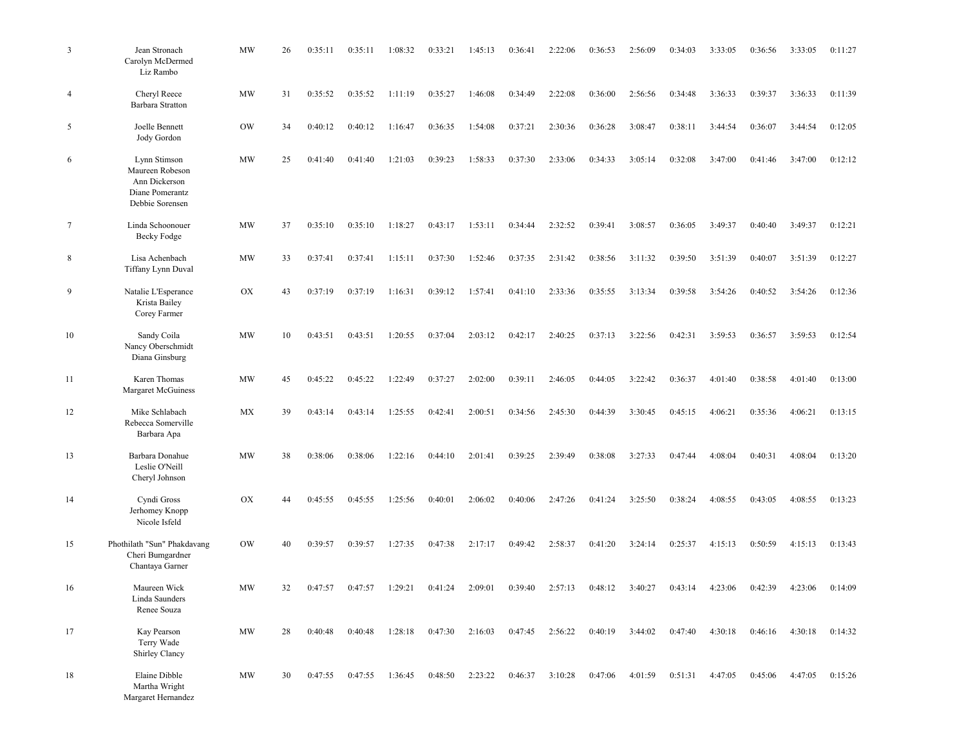| $\mathfrak{Z}$ | Jean Stronach<br>Carolyn McDermed<br>Liz Rambo                                         | <b>MW</b> | 26 | 0:35:11 | 0:35:11 | 1:08:32 | 0:33:21 | 1:45:13 | 0:36:41 | 2:22:06 | 0:36:53 | 2:56:09 | 0:34:03 | 3:33:05 | 0:36:56 | 3:33:05 | 0:11:27 |
|----------------|----------------------------------------------------------------------------------------|-----------|----|---------|---------|---------|---------|---------|---------|---------|---------|---------|---------|---------|---------|---------|---------|
| 4              | Cheryl Reece<br>Barbara Stratton                                                       | <b>MW</b> | 31 | 0:35:52 | 0:35:52 | 1:11:19 | 0:35:27 | 1:46:08 | 0:34:49 | 2:22:08 | 0:36:00 | 2:56:56 | 0:34:48 | 3:36:33 | 0:39:37 | 3:36:33 | 0:11:39 |
| 5              | Joelle Bennett<br>Jody Gordon                                                          | <b>OW</b> | 34 | 0:40:12 | 0:40:12 | 1:16:47 | 0:36:35 | 1:54:08 | 0:37:21 | 2:30:36 | 0:36:28 | 3:08:47 | 0:38:11 | 3:44:54 | 0:36:07 | 3:44:54 | 0:12:05 |
| 6              | Lynn Stimson<br>Maureen Robeson<br>Ann Dickerson<br>Diane Pomerantz<br>Debbie Sorensen | <b>MW</b> | 25 | 0:41:40 | 0:41:40 | 1:21:03 | 0:39:23 | 1:58:33 | 0:37:30 | 2:33:06 | 0:34:33 | 3:05:14 | 0:32:08 | 3:47:00 | 0:41:46 | 3:47:00 | 0:12:12 |
| 7              | Linda Schoonouer<br>Becky Fodge                                                        | <b>MW</b> | 37 | 0:35:10 | 0:35:10 | 1:18:27 | 0:43:17 | 1:53:11 | 0:34:44 | 2:32:52 | 0:39:41 | 3:08:57 | 0:36:05 | 3:49:37 | 0:40:40 | 3:49:37 | 0:12:21 |
| 8              | Lisa Achenbach<br>Tiffany Lynn Duval                                                   | <b>MW</b> | 33 | 0:37:41 | 0:37:41 | 1:15:11 | 0:37:30 | 1:52:46 | 0:37:35 | 2:31:42 | 0:38:56 | 3:11:32 | 0:39:50 | 3:51:39 | 0:40:07 | 3:51:39 | 0:12:27 |
| 9              | Natalie L'Esperance<br>Krista Bailey<br>Corey Farmer                                   | OX        | 43 | 0:37:19 | 0:37:19 | 1:16:31 | 0:39:12 | 1:57:41 | 0:41:10 | 2:33:36 | 0:35:55 | 3:13:34 | 0:39:58 | 3:54:26 | 0:40:52 | 3:54:26 | 0:12:36 |
| 10             | Sandy Coila<br>Nancy Oberschmidt<br>Diana Ginsburg                                     | <b>MW</b> | 10 | 0:43:51 | 0:43:51 | 1:20:55 | 0:37:04 | 2:03:12 | 0:42:17 | 2:40:25 | 0:37:13 | 3:22:56 | 0:42:31 | 3:59:53 | 0:36:57 | 3:59:53 | 0:12:54 |
| 11             | Karen Thomas<br>Margaret McGuiness                                                     | <b>MW</b> | 45 | 0:45:22 | 0:45:22 | 1:22:49 | 0:37:27 | 2:02:00 | 0:39:11 | 2:46:05 | 0:44:05 | 3:22:42 | 0:36:37 | 4:01:40 | 0:38:58 | 4:01:40 | 0:13:00 |
| 12             | Mike Schlabach<br>Rebecca Somerville<br>Barbara Apa                                    | MX        | 39 | 0:43:14 | 0:43:14 | 1:25:55 | 0:42:41 | 2:00:51 | 0:34:56 | 2:45:30 | 0:44:39 | 3:30:45 | 0:45:15 | 4:06:21 | 0:35:36 | 4:06:21 | 0:13:15 |
| 13             | Barbara Donahue<br>Leslie O'Neill<br>Cheryl Johnson                                    | <b>MW</b> | 38 | 0:38:06 | 0:38:06 | 1:22:16 | 0:44:10 | 2:01:41 | 0:39:25 | 2:39:49 | 0:38:08 | 3:27:33 | 0:47:44 | 4:08:04 | 0:40:31 | 4:08:04 | 0:13:20 |
| 14             | Cyndi Gross<br>Jerhomey Knopp<br>Nicole Isfeld                                         | OX        | 44 | 0:45:55 | 0:45:55 | 1:25:56 | 0:40:01 | 2:06:02 | 0:40:06 | 2:47:26 | 0:41:24 | 3:25:50 | 0:38:24 | 4:08:55 | 0:43:05 | 4:08:55 | 0:13:23 |
| 15             | Phothilath "Sun" Phakdavang<br>Cheri Bumgardner<br>Chantaya Garner                     | <b>OW</b> | 40 | 0:39:57 | 0:39:57 | 1:27:35 | 0:47:38 | 2:17:17 | 0:49:42 | 2:58:37 | 0:41:20 | 3:24:14 | 0:25:37 | 4:15:13 | 0:50:59 | 4:15:13 | 0:13:43 |
| 16             | Maureen Wick<br>Linda Saunders<br>Renee Souza                                          | MW        | 32 | 0:47:57 | 0:47:57 | 1:29:21 | 0:41:24 | 2:09:01 | 0:39:40 | 2:57:13 | 0:48:12 | 3:40:27 | 0:43:14 | 4:23:06 | 0:42:39 | 4:23:06 | 0:14:09 |
| 17             | Kay Pearson<br>Terry Wade<br>Shirley Clancy                                            | MW        | 28 | 0:40:48 | 0:40:48 | 1:28:18 | 0:47:30 | 2:16:03 | 0:47:45 | 2:56:22 | 0:40:19 | 3:44:02 | 0:47:40 | 4:30:18 | 0:46:16 | 4:30:18 | 0:14:32 |
| 18             | Elaine Dibble<br>Martha Wright<br>Margaret Hernandez                                   | MW        | 30 | 0:47:55 | 0:47:55 | 1:36:45 | 0:48:50 | 2:23:22 | 0:46:37 | 3:10:28 | 0:47:06 | 4:01:59 | 0:51:31 | 4:47:05 | 0:45:06 | 4:47:05 | 0:15:26 |